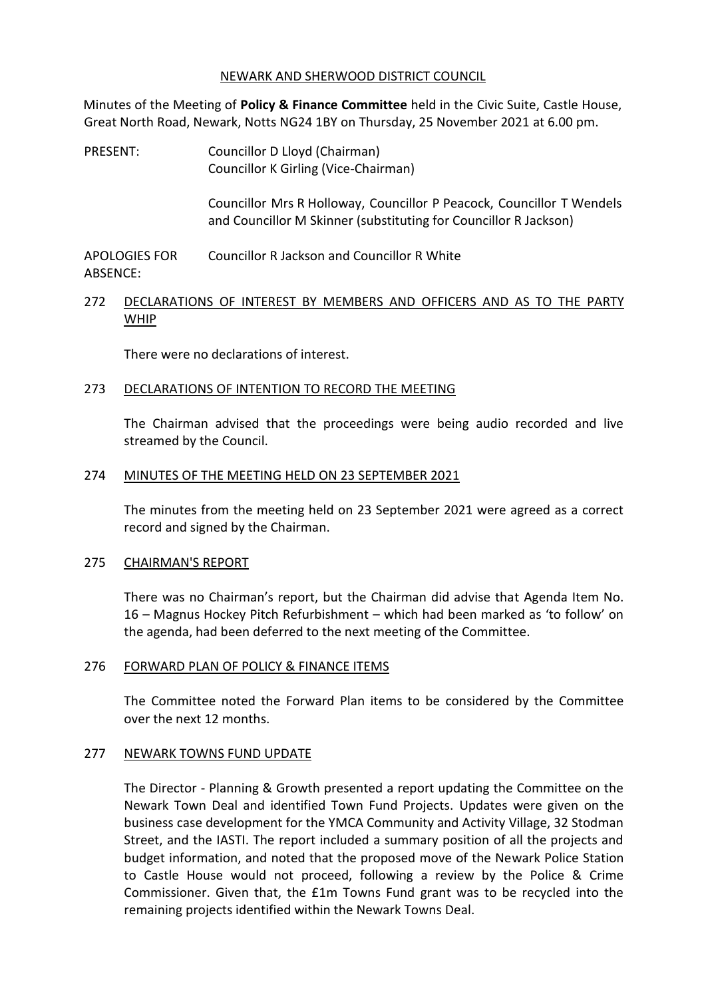### NEWARK AND SHERWOOD DISTRICT COUNCIL

Minutes of the Meeting of **Policy & Finance Committee** held in the Civic Suite, Castle House, Great North Road, Newark, Notts NG24 1BY on Thursday, 25 November 2021 at 6.00 pm.

PRESENT: Councillor D Lloyd (Chairman) Councillor K Girling (Vice-Chairman)

> Councillor Mrs R Holloway, Councillor P Peacock, Councillor T Wendels and Councillor M Skinner (substituting for Councillor R Jackson)

APOLOGIES FOR ABSENCE: Councillor R Jackson and Councillor R White

## 272 DECLARATIONS OF INTEREST BY MEMBERS AND OFFICERS AND AS TO THE PARTY WHIP

There were no declarations of interest.

### 273 DECLARATIONS OF INTENTION TO RECORD THE MEETING

The Chairman advised that the proceedings were being audio recorded and live streamed by the Council.

### 274 MINUTES OF THE MEETING HELD ON 23 SEPTEMBER 2021

The minutes from the meeting held on 23 September 2021 were agreed as a correct record and signed by the Chairman.

#### 275 CHAIRMAN'S REPORT

There was no Chairman's report, but the Chairman did advise that Agenda Item No. 16 – Magnus Hockey Pitch Refurbishment – which had been marked as 'to follow' on the agenda, had been deferred to the next meeting of the Committee.

### 276 FORWARD PLAN OF POLICY & FINANCE ITEMS

The Committee noted the Forward Plan items to be considered by the Committee over the next 12 months.

#### 277 NEWARK TOWNS FUND UPDATE

The Director - Planning & Growth presented a report updating the Committee on the Newark Town Deal and identified Town Fund Projects. Updates were given on the business case development for the YMCA Community and Activity Village, 32 Stodman Street, and the IASTI. The report included a summary position of all the projects and budget information, and noted that the proposed move of the Newark Police Station to Castle House would not proceed, following a review by the Police & Crime Commissioner. Given that, the £1m Towns Fund grant was to be recycled into the remaining projects identified within the Newark Towns Deal.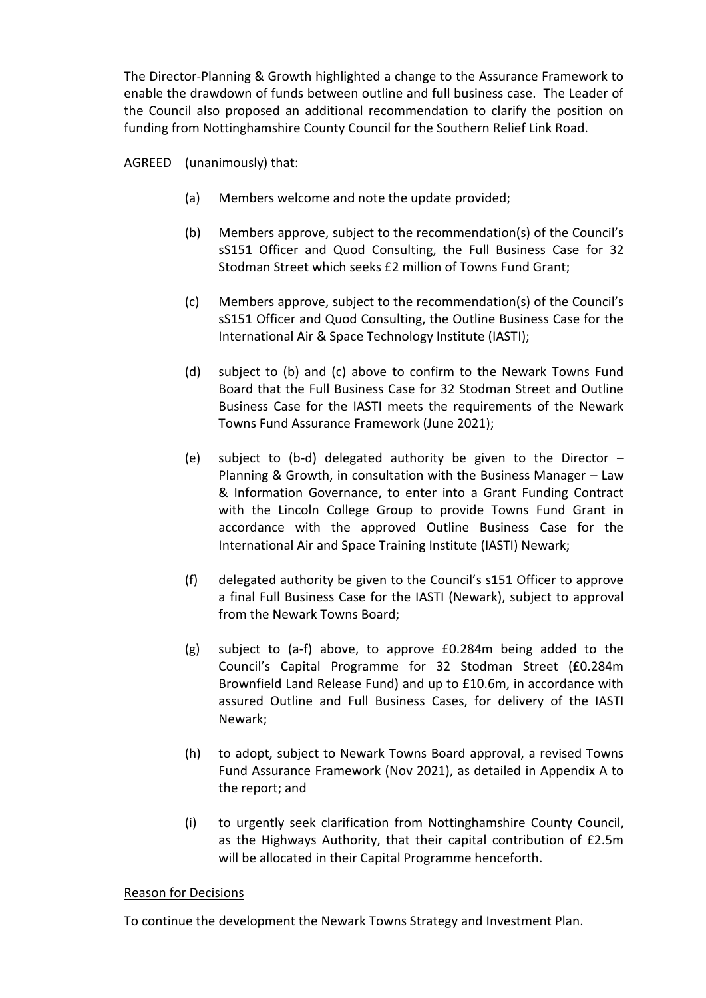The Director-Planning & Growth highlighted a change to the Assurance Framework to enable the drawdown of funds between outline and full business case. The Leader of the Council also proposed an additional recommendation to clarify the position on funding from Nottinghamshire County Council for the Southern Relief Link Road.

AGREED (unanimously) that:

- (a) Members welcome and note the update provided;
- (b) Members approve, subject to the recommendation(s) of the Council's sS151 Officer and Quod Consulting, the Full Business Case for 32 Stodman Street which seeks £2 million of Towns Fund Grant;
- (c) Members approve, subject to the recommendation(s) of the Council's sS151 Officer and Quod Consulting, the Outline Business Case for the International Air & Space Technology Institute (IASTI);
- (d) subject to (b) and (c) above to confirm to the Newark Towns Fund Board that the Full Business Case for 32 Stodman Street and Outline Business Case for the IASTI meets the requirements of the Newark Towns Fund Assurance Framework (June 2021);
- (e) subject to (b-d) delegated authority be given to the Director  $-$ Planning & Growth, in consultation with the Business Manager – Law & Information Governance, to enter into a Grant Funding Contract with the Lincoln College Group to provide Towns Fund Grant in accordance with the approved Outline Business Case for the International Air and Space Training Institute (IASTI) Newark;
- (f) delegated authority be given to the Council's s151 Officer to approve a final Full Business Case for the IASTI (Newark), subject to approval from the Newark Towns Board;
- (g) subject to (a-f) above, to approve £0.284m being added to the Council's Capital Programme for 32 Stodman Street (£0.284m Brownfield Land Release Fund) and up to £10.6m, in accordance with assured Outline and Full Business Cases, for delivery of the IASTI Newark;
- (h) to adopt, subject to Newark Towns Board approval, a revised Towns Fund Assurance Framework (Nov 2021), as detailed in Appendix A to the report; and
- (i) to urgently seek clarification from Nottinghamshire County Council, as the Highways Authority, that their capital contribution of £2.5m will be allocated in their Capital Programme henceforth.

### Reason for Decisions

To continue the development the Newark Towns Strategy and Investment Plan.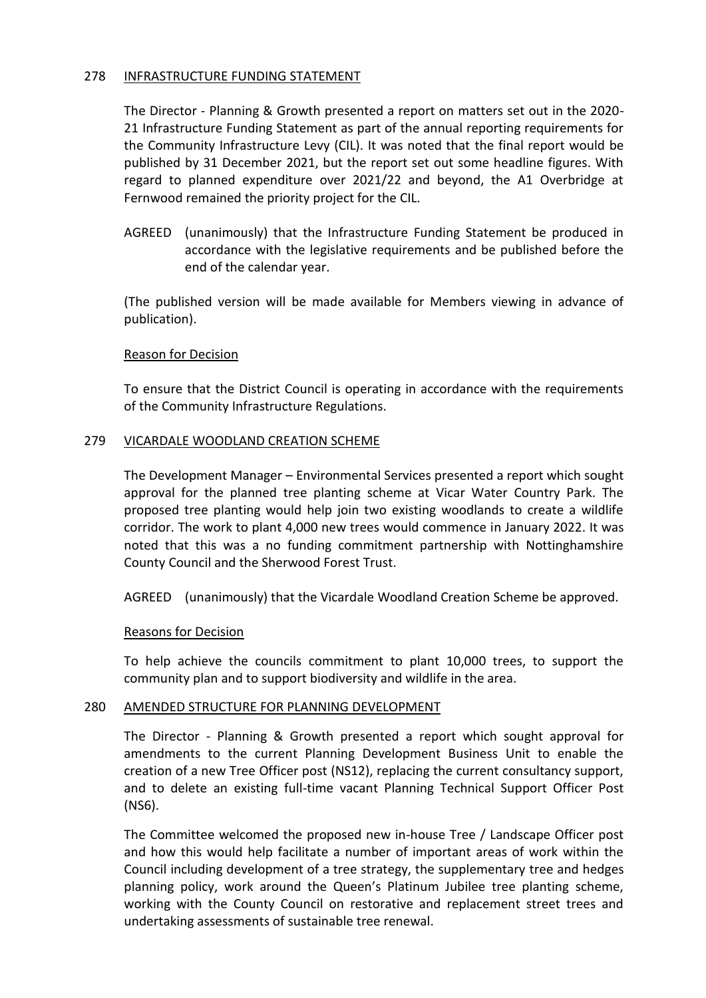### 278 INFRASTRUCTURE FUNDING STATEMENT

The Director - Planning & Growth presented a report on matters set out in the 2020- 21 Infrastructure Funding Statement as part of the annual reporting requirements for the Community Infrastructure Levy (CIL). It was noted that the final report would be published by 31 December 2021, but the report set out some headline figures. With regard to planned expenditure over 2021/22 and beyond, the A1 Overbridge at Fernwood remained the priority project for the CIL.

AGREED (unanimously) that the Infrastructure Funding Statement be produced in accordance with the legislative requirements and be published before the end of the calendar year.

(The published version will be made available for Members viewing in advance of publication).

### Reason for Decision

To ensure that the District Council is operating in accordance with the requirements of the Community Infrastructure Regulations.

### 279 VICARDALE WOODLAND CREATION SCHEME

The Development Manager – Environmental Services presented a report which sought approval for the planned tree planting scheme at Vicar Water Country Park. The proposed tree planting would help join two existing woodlands to create a wildlife corridor. The work to plant 4,000 new trees would commence in January 2022. It was noted that this was a no funding commitment partnership with Nottinghamshire County Council and the Sherwood Forest Trust.

AGREED (unanimously) that the Vicardale Woodland Creation Scheme be approved.

#### Reasons for Decision

To help achieve the councils commitment to plant 10,000 trees, to support the community plan and to support biodiversity and wildlife in the area.

### 280 AMENDED STRUCTURE FOR PLANNING DEVELOPMENT

The Director - Planning & Growth presented a report which sought approval for amendments to the current Planning Development Business Unit to enable the creation of a new Tree Officer post (NS12), replacing the current consultancy support, and to delete an existing full-time vacant Planning Technical Support Officer Post (NS6).

The Committee welcomed the proposed new in-house Tree / Landscape Officer post and how this would help facilitate a number of important areas of work within the Council including development of a tree strategy, the supplementary tree and hedges planning policy, work around the Queen's Platinum Jubilee tree planting scheme, working with the County Council on restorative and replacement street trees and undertaking assessments of sustainable tree renewal.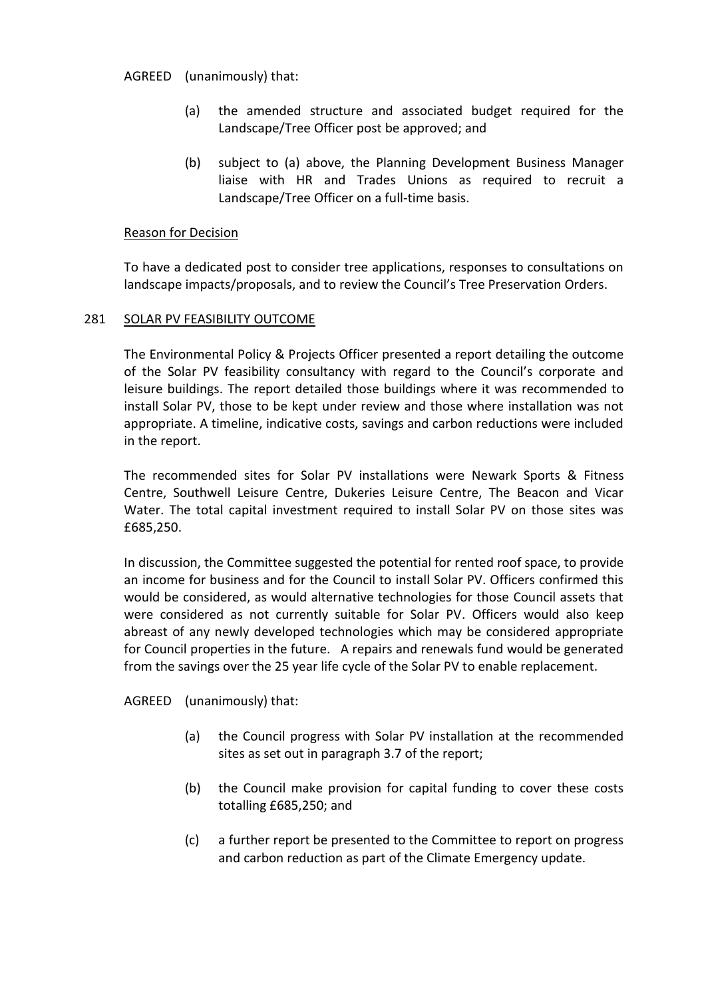AGREED (unanimously) that:

- (a) the amended structure and associated budget required for the Landscape/Tree Officer post be approved; and
- (b) subject to (a) above, the Planning Development Business Manager liaise with HR and Trades Unions as required to recruit a Landscape/Tree Officer on a full-time basis.

## Reason for Decision

To have a dedicated post to consider tree applications, responses to consultations on landscape impacts/proposals, and to review the Council's Tree Preservation Orders.

# 281 SOLAR PV FEASIBILITY OUTCOME

The Environmental Policy & Projects Officer presented a report detailing the outcome of the Solar PV feasibility consultancy with regard to the Council's corporate and leisure buildings. The report detailed those buildings where it was recommended to install Solar PV, those to be kept under review and those where installation was not appropriate. A timeline, indicative costs, savings and carbon reductions were included in the report.

The recommended sites for Solar PV installations were Newark Sports & Fitness Centre, Southwell Leisure Centre, Dukeries Leisure Centre, The Beacon and Vicar Water. The total capital investment required to install Solar PV on those sites was £685,250.

In discussion, the Committee suggested the potential for rented roof space, to provide an income for business and for the Council to install Solar PV. Officers confirmed this would be considered, as would alternative technologies for those Council assets that were considered as not currently suitable for Solar PV. Officers would also keep abreast of any newly developed technologies which may be considered appropriate for Council properties in the future. A repairs and renewals fund would be generated from the savings over the 25 year life cycle of the Solar PV to enable replacement.

AGREED (unanimously) that:

- (a) the Council progress with Solar PV installation at the recommended sites as set out in paragraph 3.7 of the report;
- (b) the Council make provision for capital funding to cover these costs totalling £685,250; and
- (c) a further report be presented to the Committee to report on progress and carbon reduction as part of the Climate Emergency update.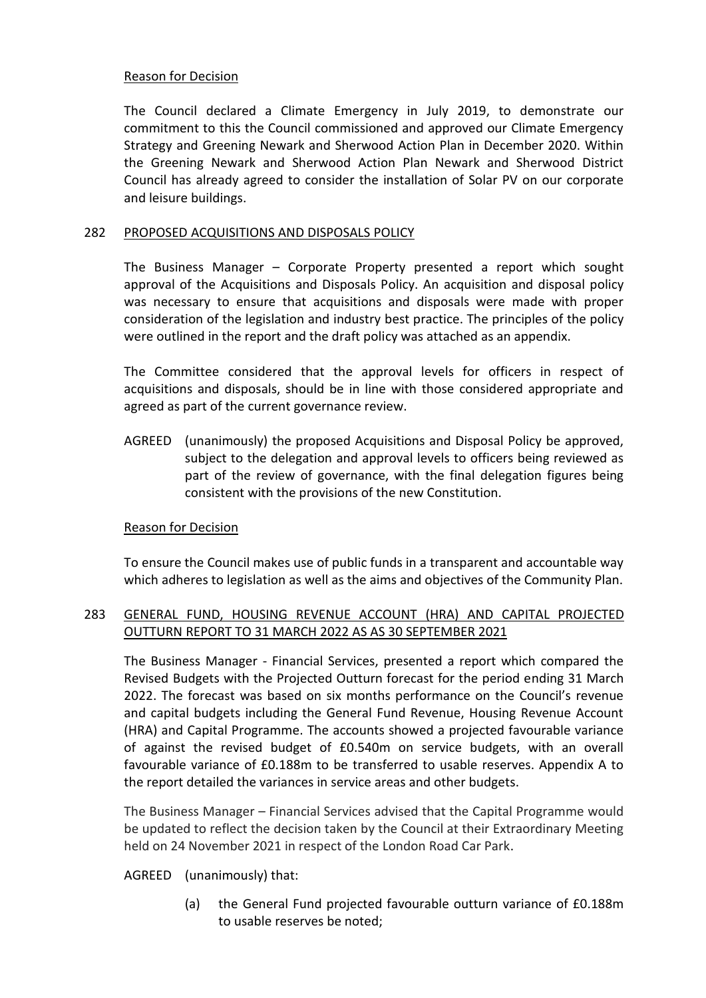# Reason for Decision

The Council declared a Climate Emergency in July 2019, to demonstrate our commitment to this the Council commissioned and approved our Climate Emergency Strategy and Greening Newark and Sherwood Action Plan in December 2020. Within the Greening Newark and Sherwood Action Plan Newark and Sherwood District Council has already agreed to consider the installation of Solar PV on our corporate and leisure buildings.

# 282 PROPOSED ACQUISITIONS AND DISPOSALS POLICY

The Business Manager – Corporate Property presented a report which sought approval of the Acquisitions and Disposals Policy. An acquisition and disposal policy was necessary to ensure that acquisitions and disposals were made with proper consideration of the legislation and industry best practice. The principles of the policy were outlined in the report and the draft policy was attached as an appendix.

The Committee considered that the approval levels for officers in respect of acquisitions and disposals, should be in line with those considered appropriate and agreed as part of the current governance review.

AGREED (unanimously) the proposed Acquisitions and Disposal Policy be approved, subject to the delegation and approval levels to officers being reviewed as part of the review of governance, with the final delegation figures being consistent with the provisions of the new Constitution.

# Reason for Decision

To ensure the Council makes use of public funds in a transparent and accountable way which adheres to legislation as well as the aims and objectives of the Community Plan.

# 283 GENERAL FUND, HOUSING REVENUE ACCOUNT (HRA) AND CAPITAL PROJECTED OUTTURN REPORT TO 31 MARCH 2022 AS AS 30 SEPTEMBER 2021

The Business Manager - Financial Services, presented a report which compared the Revised Budgets with the Projected Outturn forecast for the period ending 31 March 2022. The forecast was based on six months performance on the Council's revenue and capital budgets including the General Fund Revenue, Housing Revenue Account (HRA) and Capital Programme. The accounts showed a projected favourable variance of against the revised budget of £0.540m on service budgets, with an overall favourable variance of £0.188m to be transferred to usable reserves. Appendix A to the report detailed the variances in service areas and other budgets.

The Business Manager – Financial Services advised that the Capital Programme would be updated to reflect the decision taken by the Council at their Extraordinary Meeting held on 24 November 2021 in respect of the London Road Car Park.

# AGREED (unanimously) that:

(a) the General Fund projected favourable outturn variance of £0.188m to usable reserves be noted;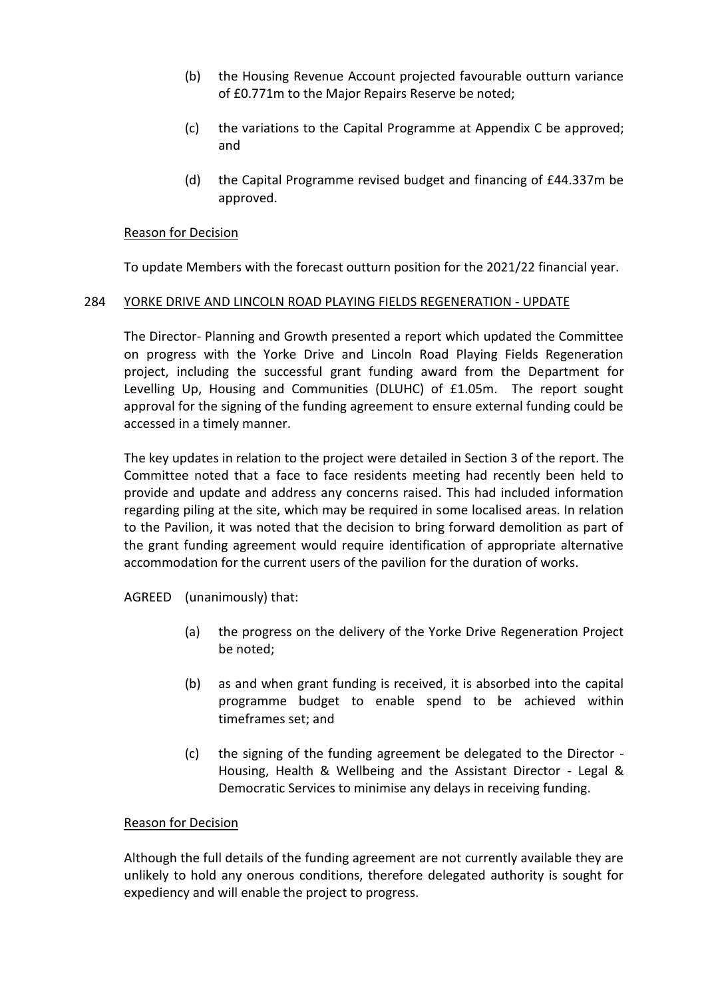- (b) the Housing Revenue Account projected favourable outturn variance of £0.771m to the Major Repairs Reserve be noted;
- (c) the variations to the Capital Programme at Appendix C be approved; and
- (d) the Capital Programme revised budget and financing of £44.337m be approved.

### Reason for Decision

To update Members with the forecast outturn position for the 2021/22 financial year.

### 284 YORKE DRIVE AND LINCOLN ROAD PLAYING FIELDS REGENERATION - UPDATE

The Director- Planning and Growth presented a report which updated the Committee on progress with the Yorke Drive and Lincoln Road Playing Fields Regeneration project, including the successful grant funding award from the Department for Levelling Up, Housing and Communities (DLUHC) of £1.05m. The report sought approval for the signing of the funding agreement to ensure external funding could be accessed in a timely manner.

The key updates in relation to the project were detailed in Section 3 of the report. The Committee noted that a face to face residents meeting had recently been held to provide and update and address any concerns raised. This had included information regarding piling at the site, which may be required in some localised areas. In relation to the Pavilion, it was noted that the decision to bring forward demolition as part of the grant funding agreement would require identification of appropriate alternative accommodation for the current users of the pavilion for the duration of works.

AGREED (unanimously) that:

- (a) the progress on the delivery of the Yorke Drive Regeneration Project be noted;
- (b) as and when grant funding is received, it is absorbed into the capital programme budget to enable spend to be achieved within timeframes set; and
- (c) the signing of the funding agreement be delegated to the Director Housing, Health & Wellbeing and the Assistant Director - Legal & Democratic Services to minimise any delays in receiving funding.

#### Reason for Decision

Although the full details of the funding agreement are not currently available they are unlikely to hold any onerous conditions, therefore delegated authority is sought for expediency and will enable the project to progress.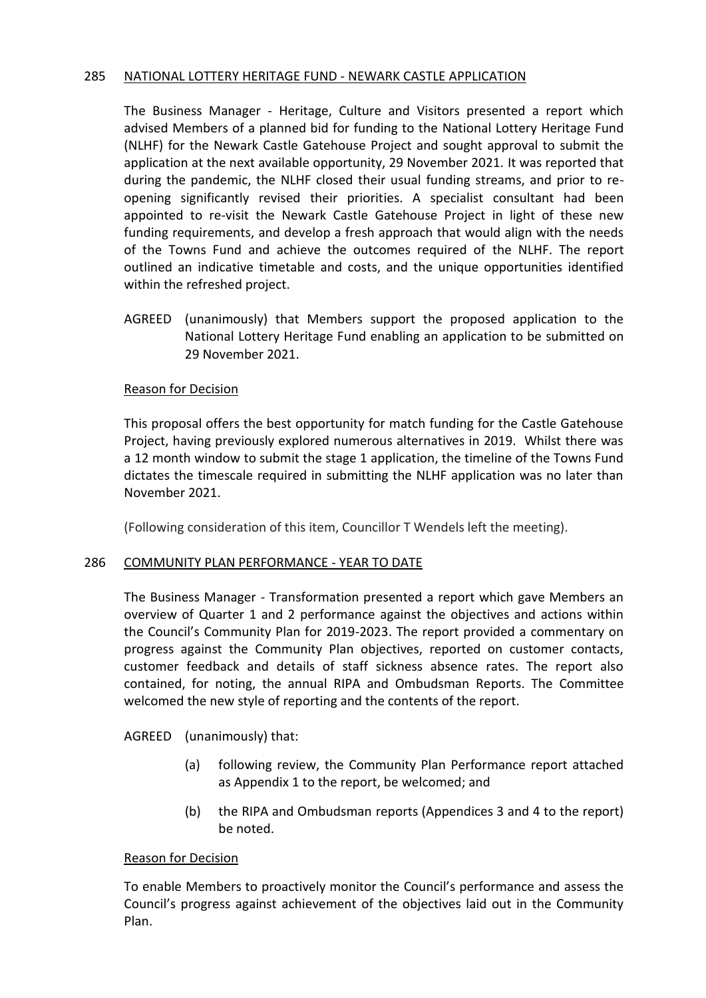## 285 NATIONAL LOTTERY HERITAGE FUND - NEWARK CASTLE APPLICATION

The Business Manager - Heritage, Culture and Visitors presented a report which advised Members of a planned bid for funding to the National Lottery Heritage Fund (NLHF) for the Newark Castle Gatehouse Project and sought approval to submit the application at the next available opportunity, 29 November 2021. It was reported that during the pandemic, the NLHF closed their usual funding streams, and prior to reopening significantly revised their priorities. A specialist consultant had been appointed to re-visit the Newark Castle Gatehouse Project in light of these new funding requirements, and develop a fresh approach that would align with the needs of the Towns Fund and achieve the outcomes required of the NLHF. The report outlined an indicative timetable and costs, and the unique opportunities identified within the refreshed project.

AGREED (unanimously) that Members support the proposed application to the National Lottery Heritage Fund enabling an application to be submitted on 29 November 2021.

# Reason for Decision

This proposal offers the best opportunity for match funding for the Castle Gatehouse Project, having previously explored numerous alternatives in 2019. Whilst there was a 12 month window to submit the stage 1 application, the timeline of the Towns Fund dictates the timescale required in submitting the NLHF application was no later than November 2021.

(Following consideration of this item, Councillor T Wendels left the meeting).

### 286 COMMUNITY PLAN PERFORMANCE - YEAR TO DATE

The Business Manager - Transformation presented a report which gave Members an overview of Quarter 1 and 2 performance against the objectives and actions within the Council's Community Plan for 2019-2023. The report provided a commentary on progress against the Community Plan objectives, reported on customer contacts, customer feedback and details of staff sickness absence rates. The report also contained, for noting, the annual RIPA and Ombudsman Reports. The Committee welcomed the new style of reporting and the contents of the report.

AGREED (unanimously) that:

- (a) following review, the Community Plan Performance report attached as Appendix 1 to the report, be welcomed; and
- (b) the RIPA and Ombudsman reports (Appendices 3 and 4 to the report) be noted.

### Reason for Decision

To enable Members to proactively monitor the Council's performance and assess the Council's progress against achievement of the objectives laid out in the Community Plan.